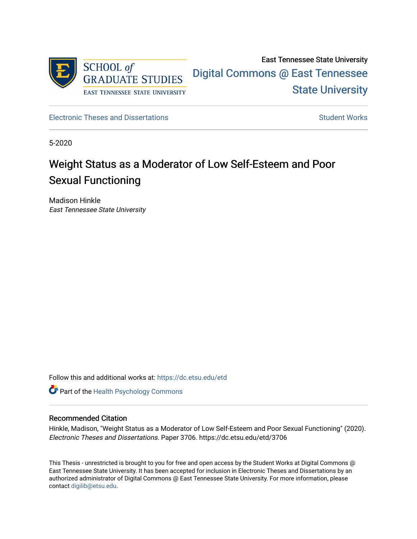

[Electronic Theses and Dissertations](https://dc.etsu.edu/etd) [Student Works](https://dc.etsu.edu/student-works) Student Works

5-2020

# Weight Status as a Moderator of Low Self-Esteem and Poor Sexual Functioning

Madison Hinkle East Tennessee State University

Follow this and additional works at: [https://dc.etsu.edu/etd](https://dc.etsu.edu/etd?utm_source=dc.etsu.edu%2Fetd%2F3706&utm_medium=PDF&utm_campaign=PDFCoverPages)

**Part of the [Health Psychology Commons](http://network.bepress.com/hgg/discipline/411?utm_source=dc.etsu.edu%2Fetd%2F3706&utm_medium=PDF&utm_campaign=PDFCoverPages)** 

#### Recommended Citation

Hinkle, Madison, "Weight Status as a Moderator of Low Self-Esteem and Poor Sexual Functioning" (2020). Electronic Theses and Dissertations. Paper 3706. https://dc.etsu.edu/etd/3706

This Thesis - unrestricted is brought to you for free and open access by the Student Works at Digital Commons @ East Tennessee State University. It has been accepted for inclusion in Electronic Theses and Dissertations by an authorized administrator of Digital Commons @ East Tennessee State University. For more information, please contact [digilib@etsu.edu](mailto:digilib@etsu.edu).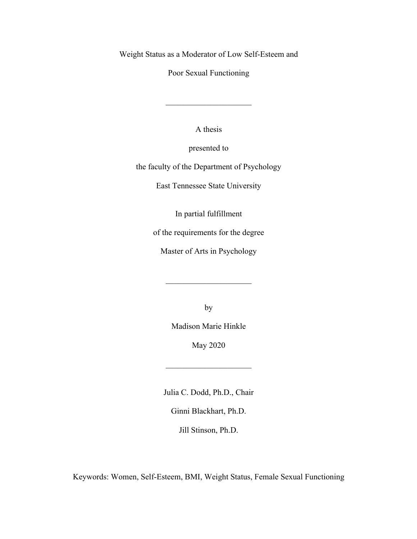Weight Status as a Moderator of Low Self-Esteem and

Poor Sexual Functioning

A thesis

presented to

the faculty of the Department of Psychology

East Tennessee State University

In partial fulfillment

of the requirements for the degree

Master of Arts in Psychology

by

Madison Marie Hinkle

May 2020

 $\mathcal{L}_\text{max}$  , where  $\mathcal{L}_\text{max}$ 

Julia C. Dodd, Ph.D., Chair

Ginni Blackhart, Ph.D.

Jill Stinson, Ph.D.

Keywords: Women, Self-Esteem, BMI, Weight Status, Female Sexual Functioning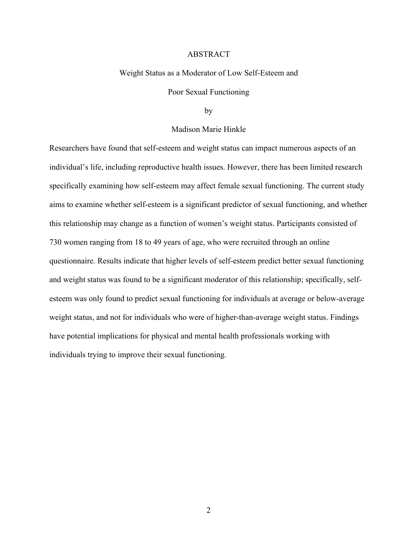#### ABSTRACT

#### Weight Status as a Moderator of Low Self-Esteem and

### Poor Sexual Functioning

#### by

#### Madison Marie Hinkle

Researchers have found that self-esteem and weight status can impact numerous aspects of an individual's life, including reproductive health issues. However, there has been limited research specifically examining how self-esteem may affect female sexual functioning. The current study aims to examine whether self-esteem is a significant predictor of sexual functioning, and whether this relationship may change as a function of women's weight status. Participants consisted of 730 women ranging from 18 to 49 years of age, who were recruited through an online questionnaire. Results indicate that higher levels of self-esteem predict better sexual functioning and weight status was found to be a significant moderator of this relationship; specifically, selfesteem was only found to predict sexual functioning for individuals at average or below-average weight status, and not for individuals who were of higher-than-average weight status. Findings have potential implications for physical and mental health professionals working with individuals trying to improve their sexual functioning.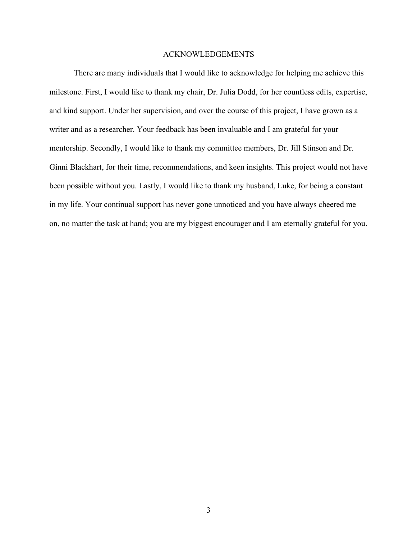#### ACKNOWLEDGEMENTS

There are many individuals that I would like to acknowledge for helping me achieve this milestone. First, I would like to thank my chair, Dr. Julia Dodd, for her countless edits, expertise, and kind support. Under her supervision, and over the course of this project, I have grown as a writer and as a researcher. Your feedback has been invaluable and I am grateful for your mentorship. Secondly, I would like to thank my committee members, Dr. Jill Stinson and Dr. Ginni Blackhart, for their time, recommendations, and keen insights. This project would not have been possible without you. Lastly, I would like to thank my husband, Luke, for being a constant in my life. Your continual support has never gone unnoticed and you have always cheered me on, no matter the task at hand; you are my biggest encourager and I am eternally grateful for you.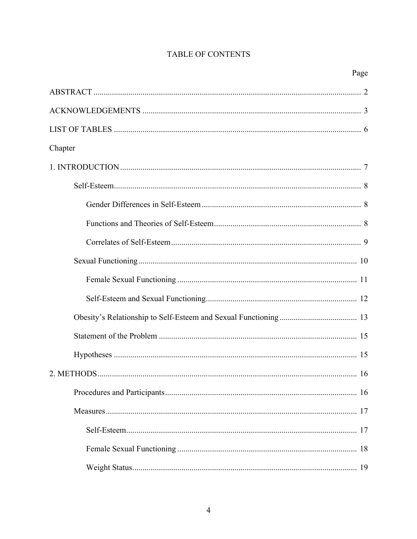# TABLE OF CONTENTS

| Chapter |
|---------|
|         |
|         |
|         |
|         |
|         |
|         |
|         |
|         |
|         |
|         |
|         |
|         |
|         |
|         |
|         |
|         |
|         |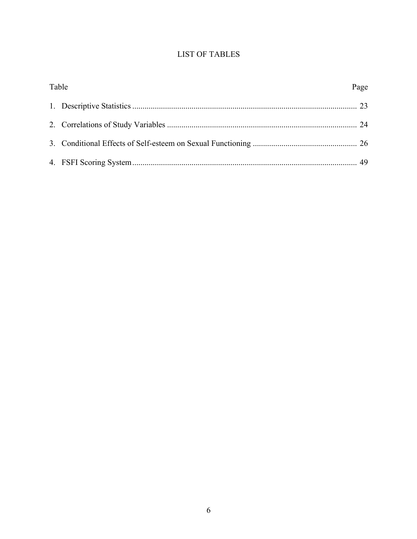# **LIST OF TABLES**

| Table | Page |
|-------|------|
|       |      |
|       |      |
|       |      |
|       |      |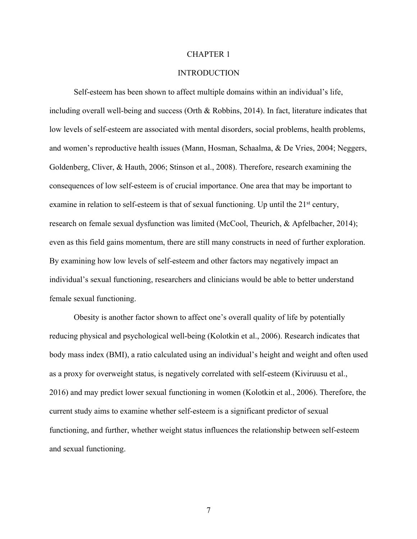#### CHAPTER 1

#### INTRODUCTION

Self-esteem has been shown to affect multiple domains within an individual's life, including overall well-being and success (Orth & Robbins, 2014). In fact, literature indicates that low levels of self-esteem are associated with mental disorders, social problems, health problems, and women's reproductive health issues (Mann, Hosman, Schaalma, & De Vries, 2004; Neggers, Goldenberg, Cliver, & Hauth, 2006; Stinson et al., 2008). Therefore, research examining the consequences of low self-esteem is of crucial importance. One area that may be important to examine in relation to self-esteem is that of sexual functioning. Up until the  $21<sup>st</sup>$  century, research on female sexual dysfunction was limited (McCool, Theurich, & Apfelbacher, 2014); even as this field gains momentum, there are still many constructs in need of further exploration. By examining how low levels of self-esteem and other factors may negatively impact an individual's sexual functioning, researchers and clinicians would be able to better understand female sexual functioning.

Obesity is another factor shown to affect one's overall quality of life by potentially reducing physical and psychological well-being (Kolotkin et al., 2006). Research indicates that body mass index (BMI), a ratio calculated using an individual's height and weight and often used as a proxy for overweight status, is negatively correlated with self-esteem (Kiviruusu et al., 2016) and may predict lower sexual functioning in women (Kolotkin et al., 2006). Therefore, the current study aims to examine whether self-esteem is a significant predictor of sexual functioning, and further, whether weight status influences the relationship between self-esteem and sexual functioning.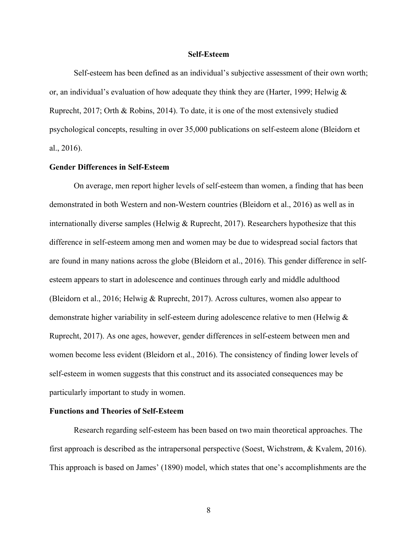#### **Self-Esteem**

Self-esteem has been defined as an individual's subjective assessment of their own worth; or, an individual's evaluation of how adequate they think they are (Harter, 1999; Helwig & Ruprecht, 2017; Orth & Robins, 2014). To date, it is one of the most extensively studied psychological concepts, resulting in over 35,000 publications on self-esteem alone (Bleidorn et al., 2016).

#### **Gender Differences in Self-Esteem**

On average, men report higher levels of self-esteem than women, a finding that has been demonstrated in both Western and non-Western countries (Bleidorn et al., 2016) as well as in internationally diverse samples (Helwig & Ruprecht, 2017). Researchers hypothesize that this difference in self-esteem among men and women may be due to widespread social factors that are found in many nations across the globe (Bleidorn et al., 2016). This gender difference in selfesteem appears to start in adolescence and continues through early and middle adulthood (Bleidorn et al., 2016; Helwig & Ruprecht, 2017). Across cultures, women also appear to demonstrate higher variability in self-esteem during adolescence relative to men (Helwig & Ruprecht, 2017). As one ages, however, gender differences in self-esteem between men and women become less evident (Bleidorn et al., 2016). The consistency of finding lower levels of self-esteem in women suggests that this construct and its associated consequences may be particularly important to study in women.

#### **Functions and Theories of Self-Esteem**

Research regarding self-esteem has been based on two main theoretical approaches. The first approach is described as the intrapersonal perspective (Soest, Wichstrøm, & Kvalem, 2016). This approach is based on James' (1890) model, which states that one's accomplishments are the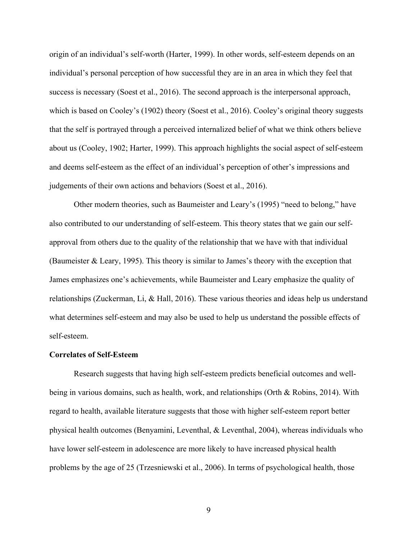origin of an individual's self-worth (Harter, 1999). In other words, self-esteem depends on an individual's personal perception of how successful they are in an area in which they feel that success is necessary (Soest et al., 2016). The second approach is the interpersonal approach, which is based on Cooley's (1902) theory (Soest et al., 2016). Cooley's original theory suggests that the self is portrayed through a perceived internalized belief of what we think others believe about us (Cooley, 1902; Harter, 1999). This approach highlights the social aspect of self-esteem and deems self-esteem as the effect of an individual's perception of other's impressions and judgements of their own actions and behaviors (Soest et al., 2016).

Other modern theories, such as Baumeister and Leary's (1995) "need to belong," have also contributed to our understanding of self-esteem. This theory states that we gain our selfapproval from others due to the quality of the relationship that we have with that individual (Baumeister & Leary, 1995). This theory is similar to James's theory with the exception that James emphasizes one's achievements, while Baumeister and Leary emphasize the quality of relationships (Zuckerman, Li, & Hall, 2016). These various theories and ideas help us understand what determines self-esteem and may also be used to help us understand the possible effects of self-esteem.

## **Correlates of Self-Esteem**

Research suggests that having high self-esteem predicts beneficial outcomes and wellbeing in various domains, such as health, work, and relationships (Orth & Robins, 2014). With regard to health, available literature suggests that those with higher self-esteem report better physical health outcomes (Benyamini, Leventhal, & Leventhal, 2004), whereas individuals who have lower self-esteem in adolescence are more likely to have increased physical health problems by the age of 25 (Trzesniewski et al., 2006). In terms of psychological health, those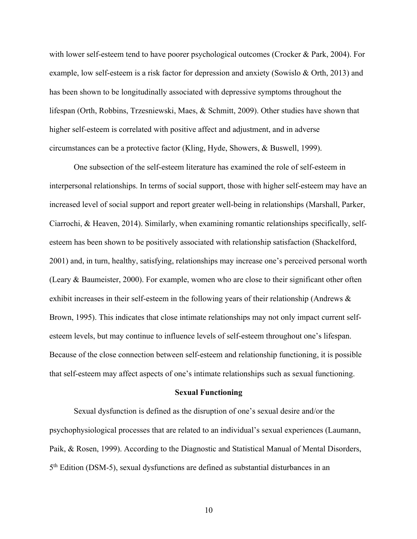with lower self-esteem tend to have poorer psychological outcomes (Crocker & Park, 2004). For example, low self-esteem is a risk factor for depression and anxiety (Sowislo & Orth, 2013) and has been shown to be longitudinally associated with depressive symptoms throughout the lifespan (Orth, Robbins, Trzesniewski, Maes, & Schmitt, 2009). Other studies have shown that higher self-esteem is correlated with positive affect and adjustment, and in adverse circumstances can be a protective factor (Kling, Hyde, Showers, & Buswell, 1999).

One subsection of the self-esteem literature has examined the role of self-esteem in interpersonal relationships. In terms of social support, those with higher self-esteem may have an increased level of social support and report greater well-being in relationships (Marshall, Parker, Ciarrochi, & Heaven, 2014). Similarly, when examining romantic relationships specifically, selfesteem has been shown to be positively associated with relationship satisfaction (Shackelford, 2001) and, in turn, healthy, satisfying, relationships may increase one's perceived personal worth (Leary & Baumeister, 2000). For example, women who are close to their significant other often exhibit increases in their self-esteem in the following years of their relationship (Andrews & Brown, 1995). This indicates that close intimate relationships may not only impact current selfesteem levels, but may continue to influence levels of self-esteem throughout one's lifespan. Because of the close connection between self-esteem and relationship functioning, it is possible that self-esteem may affect aspects of one's intimate relationships such as sexual functioning.

#### **Sexual Functioning**

Sexual dysfunction is defined as the disruption of one's sexual desire and/or the psychophysiological processes that are related to an individual's sexual experiences (Laumann, Paik, & Rosen, 1999). According to the Diagnostic and Statistical Manual of Mental Disorders, 5th Edition (DSM-5), sexual dysfunctions are defined as substantial disturbances in an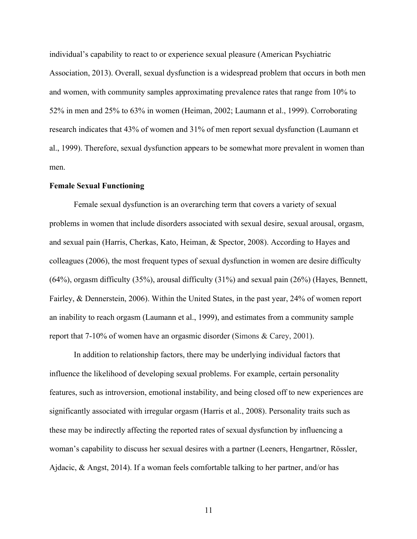individual's capability to react to or experience sexual pleasure (American Psychiatric Association, 2013). Overall, sexual dysfunction is a widespread problem that occurs in both men and women, with community samples approximating prevalence rates that range from 10% to 52% in men and 25% to 63% in women (Heiman, 2002; Laumann et al., 1999). Corroborating research indicates that 43% of women and 31% of men report sexual dysfunction (Laumann et al., 1999). Therefore, sexual dysfunction appears to be somewhat more prevalent in women than men.

#### **Female Sexual Functioning**

Female sexual dysfunction is an overarching term that covers a variety of sexual problems in women that include disorders associated with sexual desire, sexual arousal, orgasm, and sexual pain (Harris, Cherkas, Kato, Heiman, & Spector, 2008). According to Hayes and colleagues (2006), the most frequent types of sexual dysfunction in women are desire difficulty (64%), orgasm difficulty (35%), arousal difficulty (31%) and sexual pain (26%) (Hayes, Bennett, Fairley, & Dennerstein, 2006). Within the United States, in the past year, 24% of women report an inability to reach orgasm (Laumann et al., 1999), and estimates from a community sample report that 7-10% of women have an orgasmic disorder (Simons & Carey, 2001).

In addition to relationship factors, there may be underlying individual factors that influence the likelihood of developing sexual problems. For example, certain personality features, such as introversion, emotional instability, and being closed off to new experiences are significantly associated with irregular orgasm (Harris et al., 2008). Personality traits such as these may be indirectly affecting the reported rates of sexual dysfunction by influencing a woman's capability to discuss her sexual desires with a partner (Leeners, Hengartner, Rössler, Ajdacic, & Angst, 2014). If a woman feels comfortable talking to her partner, and/or has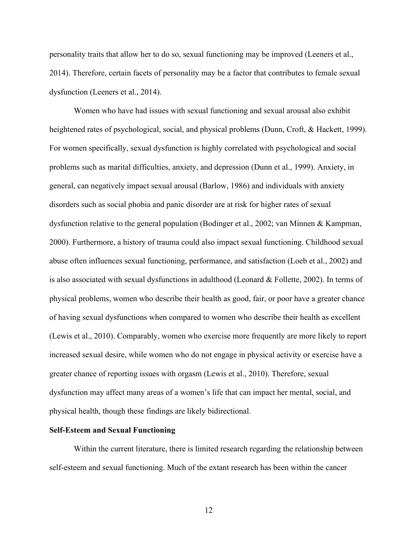personality traits that allow her to do so, sexual functioning may be improved (Leeners et al., 2014). Therefore, certain facets of personality may be a factor that contributes to female sexual dysfunction (Leeners et al., 2014).

Women who have had issues with sexual functioning and sexual arousal also exhibit heightened rates of psychological, social, and physical problems (Dunn, Croft, & Hackett, 1999). For women specifically, sexual dysfunction is highly correlated with psychological and social problems such as marital difficulties, anxiety, and depression (Dunn et al., 1999). Anxiety, in general, can negatively impact sexual arousal (Barlow, 1986) and individuals with anxiety disorders such as social phobia and panic disorder are at risk for higher rates of sexual dysfunction relative to the general population (Bodinger et al., 2002; van Minnen & Kampman, 2000). Furthermore, a history of trauma could also impact sexual functioning. Childhood sexual abuse often influences sexual functioning, performance, and satisfaction (Loeb et al., 2002) and is also associated with sexual dysfunctions in adulthood (Leonard & Follette, 2002). In terms of physical problems, women who describe their health as good, fair, or poor have a greater chance of having sexual dysfunctions when compared to women who describe their health as excellent (Lewis et al., 2010). Comparably, women who exercise more frequently are more likely to report increased sexual desire, while women who do not engage in physical activity or exercise have a greater chance of reporting issues with orgasm (Lewis et al., 2010). Therefore, sexual dysfunction may affect many areas of a women's life that can impact her mental, social, and physical health, though these findings are likely bidirectional.

## **Self-Esteem and Sexual Functioning**

Within the current literature, there is limited research regarding the relationship between self-esteem and sexual functioning. Much of the extant research has been within the cancer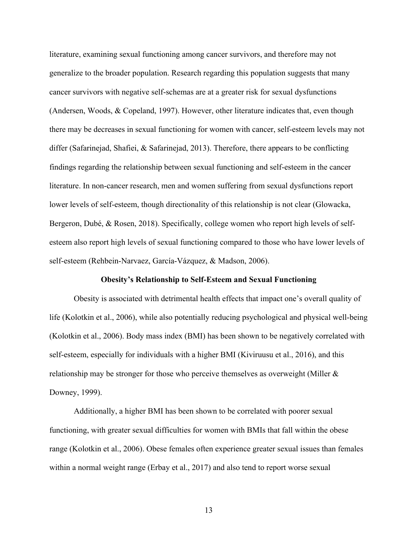literature, examining sexual functioning among cancer survivors, and therefore may not generalize to the broader population. Research regarding this population suggests that many cancer survivors with negative self-schemas are at a greater risk for sexual dysfunctions (Andersen, Woods, & Copeland, 1997). However, other literature indicates that, even though there may be decreases in sexual functioning for women with cancer, self-esteem levels may not differ (Safarinejad, Shafiei, & Safarinejad, 2013). Therefore, there appears to be conflicting findings regarding the relationship between sexual functioning and self-esteem in the cancer literature. In non-cancer research, men and women suffering from sexual dysfunctions report lower levels of self-esteem, though directionality of this relationship is not clear (Glowacka, Bergeron, Dubé, & Rosen, 2018). Specifically, college women who report high levels of selfesteem also report high levels of sexual functioning compared to those who have lower levels of self-esteem (Rehbein-Narvaez, García-Vázquez, & Madson, 2006).

#### **Obesity's Relationship to Self-Esteem and Sexual Functioning**

Obesity is associated with detrimental health effects that impact one's overall quality of life (Kolotkin et al., 2006), while also potentially reducing psychological and physical well-being (Kolotkin et al., 2006). Body mass index (BMI) has been shown to be negatively correlated with self-esteem, especially for individuals with a higher BMI (Kiviruusu et al., 2016), and this relationship may be stronger for those who perceive themselves as overweight (Miller & Downey, 1999).

Additionally, a higher BMI has been shown to be correlated with poorer sexual functioning, with greater sexual difficulties for women with BMIs that fall within the obese range (Kolotkin et al., 2006). Obese females often experience greater sexual issues than females within a normal weight range (Erbay et al., 2017) and also tend to report worse sexual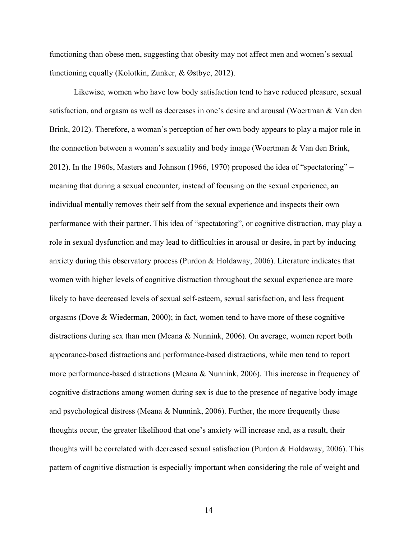functioning than obese men, suggesting that obesity may not affect men and women's sexual functioning equally (Kolotkin, Zunker, & Østbye, 2012).

Likewise, women who have low body satisfaction tend to have reduced pleasure, sexual satisfaction, and orgasm as well as decreases in one's desire and arousal (Woertman & Van den Brink, 2012). Therefore, a woman's perception of her own body appears to play a major role in the connection between a woman's sexuality and body image (Woertman & Van den Brink, 2012). In the 1960s, Masters and Johnson (1966, 1970) proposed the idea of "spectatoring" – meaning that during a sexual encounter, instead of focusing on the sexual experience, an individual mentally removes their self from the sexual experience and inspects their own performance with their partner. This idea of "spectatoring", or cognitive distraction, may play a role in sexual dysfunction and may lead to difficulties in arousal or desire, in part by inducing anxiety during this observatory process (Purdon & Holdaway, 2006). Literature indicates that women with higher levels of cognitive distraction throughout the sexual experience are more likely to have decreased levels of sexual self-esteem, sexual satisfaction, and less frequent orgasms (Dove & Wiederman, 2000); in fact, women tend to have more of these cognitive distractions during sex than men (Meana & Nunnink, 2006). On average, women report both appearance-based distractions and performance-based distractions, while men tend to report more performance-based distractions (Meana & Nunnink, 2006). This increase in frequency of cognitive distractions among women during sex is due to the presence of negative body image and psychological distress (Meana & Nunnink, 2006). Further, the more frequently these thoughts occur, the greater likelihood that one's anxiety will increase and, as a result, their thoughts will be correlated with decreased sexual satisfaction (Purdon & Holdaway, 2006). This pattern of cognitive distraction is especially important when considering the role of weight and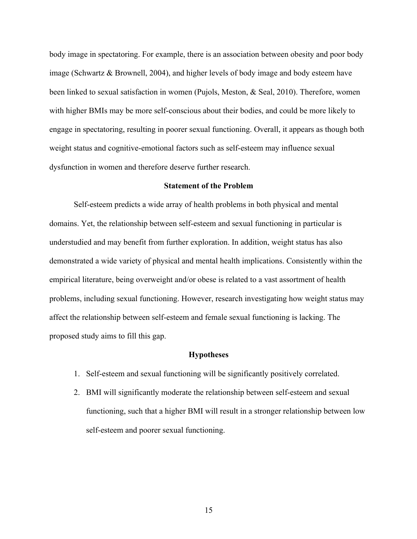body image in spectatoring. For example, there is an association between obesity and poor body image (Schwartz & Brownell, 2004), and higher levels of body image and body esteem have been linked to sexual satisfaction in women (Pujols, Meston, & Seal, 2010). Therefore, women with higher BMIs may be more self-conscious about their bodies, and could be more likely to engage in spectatoring, resulting in poorer sexual functioning. Overall, it appears as though both weight status and cognitive-emotional factors such as self-esteem may influence sexual dysfunction in women and therefore deserve further research.

#### **Statement of the Problem**

Self-esteem predicts a wide array of health problems in both physical and mental domains. Yet, the relationship between self-esteem and sexual functioning in particular is understudied and may benefit from further exploration. In addition, weight status has also demonstrated a wide variety of physical and mental health implications. Consistently within the empirical literature, being overweight and/or obese is related to a vast assortment of health problems, including sexual functioning. However, research investigating how weight status may affect the relationship between self-esteem and female sexual functioning is lacking. The proposed study aims to fill this gap.

#### **Hypotheses**

- 1. Self-esteem and sexual functioning will be significantly positively correlated.
- 2. BMI will significantly moderate the relationship between self-esteem and sexual functioning, such that a higher BMI will result in a stronger relationship between low self-esteem and poorer sexual functioning.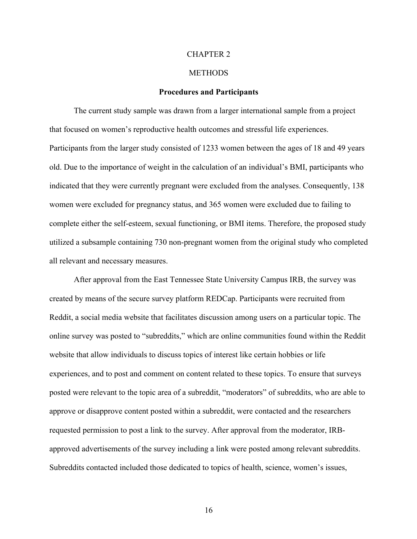#### CHAPTER 2

#### **METHODS**

#### **Procedures and Participants**

The current study sample was drawn from a larger international sample from a project that focused on women's reproductive health outcomes and stressful life experiences. Participants from the larger study consisted of 1233 women between the ages of 18 and 49 years old. Due to the importance of weight in the calculation of an individual's BMI, participants who indicated that they were currently pregnant were excluded from the analyses. Consequently, 138 women were excluded for pregnancy status, and 365 women were excluded due to failing to complete either the self-esteem, sexual functioning, or BMI items. Therefore, the proposed study utilized a subsample containing 730 non-pregnant women from the original study who completed all relevant and necessary measures.

After approval from the East Tennessee State University Campus IRB, the survey was created by means of the secure survey platform REDCap. Participants were recruited from Reddit, a social media website that facilitates discussion among users on a particular topic. The online survey was posted to "subreddits," which are online communities found within the Reddit website that allow individuals to discuss topics of interest like certain hobbies or life experiences, and to post and comment on content related to these topics. To ensure that surveys posted were relevant to the topic area of a subreddit, "moderators" of subreddits, who are able to approve or disapprove content posted within a subreddit, were contacted and the researchers requested permission to post a link to the survey. After approval from the moderator, IRBapproved advertisements of the survey including a link were posted among relevant subreddits. Subreddits contacted included those dedicated to topics of health, science, women's issues,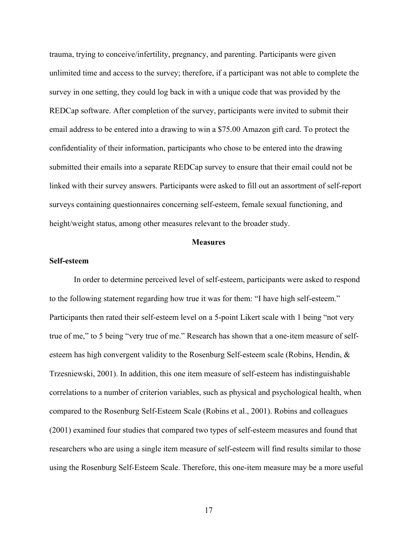trauma, trying to conceive/infertility, pregnancy, and parenting. Participants were given unlimited time and access to the survey; therefore, if a participant was not able to complete the survey in one setting, they could log back in with a unique code that was provided by the REDCap software. After completion of the survey, participants were invited to submit their email address to be entered into a drawing to win a \$75.00 Amazon gift card. To protect the confidentiality of their information, participants who chose to be entered into the drawing submitted their emails into a separate REDCap survey to ensure that their email could not be linked with their survey answers. Participants were asked to fill out an assortment of self-report surveys containing questionnaires concerning self-esteem, female sexual functioning, and height/weight status, among other measures relevant to the broader study.

#### **Measures**

#### **Self-esteem**

In order to determine perceived level of self-esteem, participants were asked to respond to the following statement regarding how true it was for them: "I have high self-esteem." Participants then rated their self-esteem level on a 5-point Likert scale with 1 being "not very true of me," to 5 being "very true of me." Research has shown that a one-item measure of selfesteem has high convergent validity to the Rosenburg Self-esteem scale (Robins, Hendin, & Trzesniewski, 2001). In addition, this one item measure of self-esteem has indistinguishable correlations to a number of criterion variables, such as physical and psychological health, when compared to the Rosenburg Self-Esteem Scale (Robins et al., 2001). Robins and colleagues (2001) examined four studies that compared two types of self-esteem measures and found that researchers who are using a single item measure of self-esteem will find results similar to those using the Rosenburg Self-Esteem Scale. Therefore, this one-item measure may be a more useful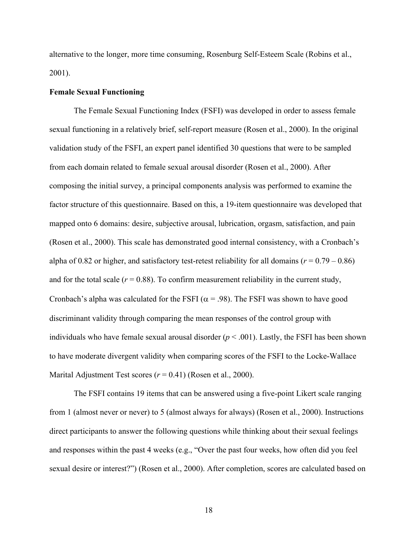alternative to the longer, more time consuming, Rosenburg Self-Esteem Scale (Robins et al., 2001).

#### **Female Sexual Functioning**

The Female Sexual Functioning Index (FSFI) was developed in order to assess female sexual functioning in a relatively brief, self-report measure (Rosen et al., 2000). In the original validation study of the FSFI, an expert panel identified 30 questions that were to be sampled from each domain related to female sexual arousal disorder (Rosen et al., 2000). After composing the initial survey, a principal components analysis was performed to examine the factor structure of this questionnaire. Based on this, a 19-item questionnaire was developed that mapped onto 6 domains: desire, subjective arousal, lubrication, orgasm, satisfaction, and pain (Rosen et al., 2000). This scale has demonstrated good internal consistency, with a Cronbach's alpha of 0.82 or higher, and satisfactory test-retest reliability for all domains  $(r = 0.79 - 0.86)$ and for the total scale  $(r = 0.88)$ . To confirm measurement reliability in the current study, Cronbach's alpha was calculated for the FSFI ( $\alpha$  = .98). The FSFI was shown to have good discriminant validity through comparing the mean responses of the control group with individuals who have female sexual arousal disorder  $(p < .001)$ . Lastly, the FSFI has been shown to have moderate divergent validity when comparing scores of the FSFI to the Locke-Wallace Marital Adjustment Test scores ( $r = 0.41$ ) (Rosen et al., 2000).

The FSFI contains 19 items that can be answered using a five-point Likert scale ranging from 1 (almost never or never) to 5 (almost always for always) (Rosen et al., 2000). Instructions direct participants to answer the following questions while thinking about their sexual feelings and responses within the past 4 weeks (e.g., "Over the past four weeks, how often did you feel sexual desire or interest?") (Rosen et al., 2000). After completion, scores are calculated based on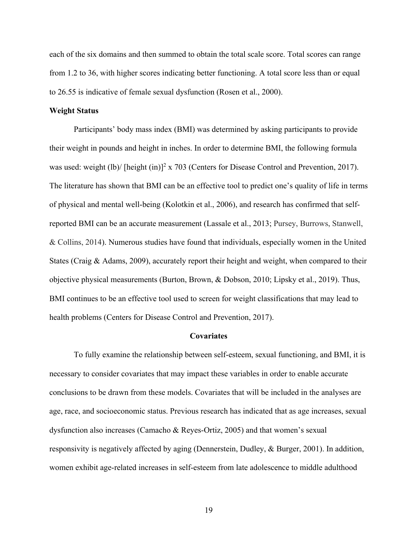each of the six domains and then summed to obtain the total scale score. Total scores can range from 1.2 to 36, with higher scores indicating better functioning. A total score less than or equal to 26.55 is indicative of female sexual dysfunction (Rosen et al., 2000).

#### **Weight Status**

Participants' body mass index (BMI) was determined by asking participants to provide their weight in pounds and height in inches. In order to determine BMI, the following formula was used: weight (lb)/ [height (in)]<sup>2</sup> x 703 (Centers for Disease Control and Prevention, 2017). The literature has shown that BMI can be an effective tool to predict one's quality of life in terms of physical and mental well-being (Kolotkin et al., 2006), and research has confirmed that selfreported BMI can be an accurate measurement (Lassale et al., 2013; Pursey, Burrows, Stanwell, & Collins, 2014). Numerous studies have found that individuals, especially women in the United States (Craig & Adams, 2009), accurately report their height and weight, when compared to their objective physical measurements (Burton, Brown, & Dobson, 2010; Lipsky et al., 2019). Thus, BMI continues to be an effective tool used to screen for weight classifications that may lead to health problems (Centers for Disease Control and Prevention, 2017).

#### **Covariates**

To fully examine the relationship between self-esteem, sexual functioning, and BMI, it is necessary to consider covariates that may impact these variables in order to enable accurate conclusions to be drawn from these models. Covariates that will be included in the analyses are age, race, and socioeconomic status. Previous research has indicated that as age increases, sexual dysfunction also increases (Camacho & Reyes-Ortiz, 2005) and that women's sexual responsivity is negatively affected by aging (Dennerstein, Dudley, & Burger, 2001). In addition, women exhibit age-related increases in self-esteem from late adolescence to middle adulthood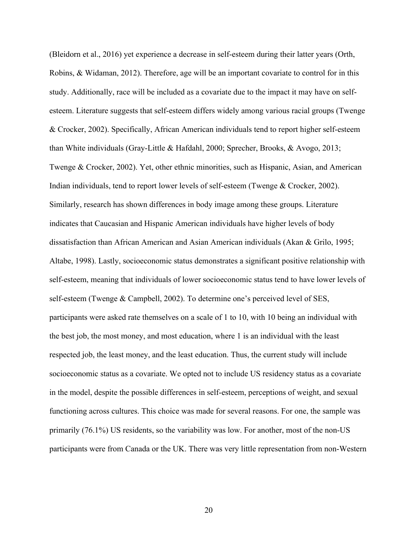(Bleidorn et al., 2016) yet experience a decrease in self-esteem during their latter years (Orth, Robins, & Widaman, 2012). Therefore, age will be an important covariate to control for in this study. Additionally, race will be included as a covariate due to the impact it may have on selfesteem. Literature suggests that self-esteem differs widely among various racial groups (Twenge & Crocker, 2002). Specifically, African American individuals tend to report higher self-esteem than White individuals (Gray-Little & Hafdahl, 2000; Sprecher, Brooks, & Avogo, 2013; Twenge & Crocker, 2002). Yet, other ethnic minorities, such as Hispanic, Asian, and American Indian individuals, tend to report lower levels of self-esteem (Twenge & Crocker, 2002). Similarly, research has shown differences in body image among these groups. Literature indicates that Caucasian and Hispanic American individuals have higher levels of body dissatisfaction than African American and Asian American individuals (Akan & Grilo, 1995; Altabe, 1998). Lastly, socioeconomic status demonstrates a significant positive relationship with self-esteem, meaning that individuals of lower socioeconomic status tend to have lower levels of self-esteem (Twenge & Campbell, 2002). To determine one's perceived level of SES, participants were asked rate themselves on a scale of 1 to 10, with 10 being an individual with the best job, the most money, and most education, where 1 is an individual with the least respected job, the least money, and the least education. Thus, the current study will include socioeconomic status as a covariate. We opted not to include US residency status as a covariate in the model, despite the possible differences in self-esteem, perceptions of weight, and sexual functioning across cultures. This choice was made for several reasons. For one, the sample was primarily (76.1%) US residents, so the variability was low. For another, most of the non-US participants were from Canada or the UK. There was very little representation from non-Western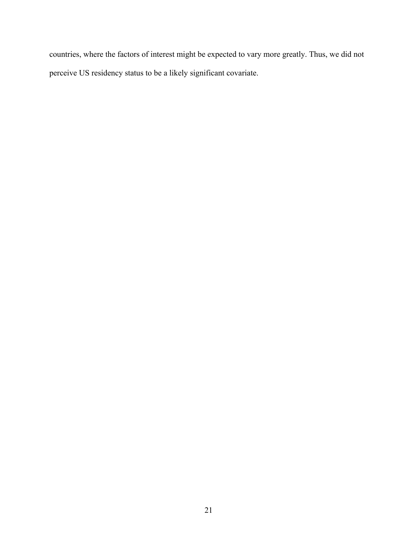countries, where the factors of interest might be expected to vary more greatly. Thus, we did not perceive US residency status to be a likely significant covariate.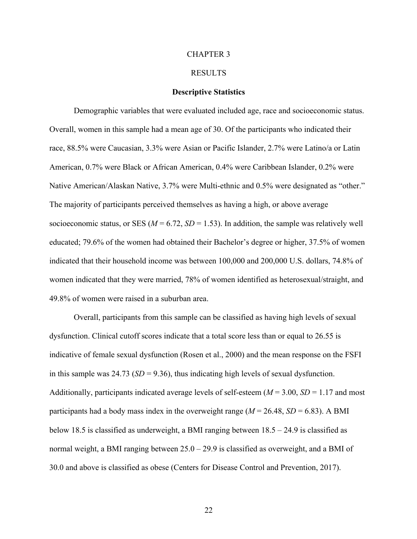#### CHAPTER 3

#### RESULTS

#### **Descriptive Statistics**

Demographic variables that were evaluated included age, race and socioeconomic status. Overall, women in this sample had a mean age of 30. Of the participants who indicated their race, 88.5% were Caucasian, 3.3% were Asian or Pacific Islander, 2.7% were Latino/a or Latin American, 0.7% were Black or African American, 0.4% were Caribbean Islander, 0.2% were Native American/Alaskan Native, 3.7% were Multi-ethnic and 0.5% were designated as "other." The majority of participants perceived themselves as having a high, or above average socioeconomic status, or SES ( $M = 6.72$ ,  $SD = 1.53$ ). In addition, the sample was relatively well educated; 79.6% of the women had obtained their Bachelor's degree or higher, 37.5% of women indicated that their household income was between 100,000 and 200,000 U.S. dollars, 74.8% of women indicated that they were married, 78% of women identified as heterosexual/straight, and 49.8% of women were raised in a suburban area.

Overall, participants from this sample can be classified as having high levels of sexual dysfunction. Clinical cutoff scores indicate that a total score less than or equal to 26.55 is indicative of female sexual dysfunction (Rosen et al., 2000) and the mean response on the FSFI in this sample was  $24.73$  ( $SD = 9.36$ ), thus indicating high levels of sexual dysfunction. Additionally, participants indicated average levels of self-esteem  $(M = 3.00, SD = 1.17$  and most participants had a body mass index in the overweight range  $(M = 26.48, SD = 6.83)$ . A BMI below 18.5 is classified as underweight, a BMI ranging between 18.5 – 24.9 is classified as normal weight, a BMI ranging between 25.0 – 29.9 is classified as overweight, and a BMI of 30.0 and above is classified as obese (Centers for Disease Control and Prevention, 2017).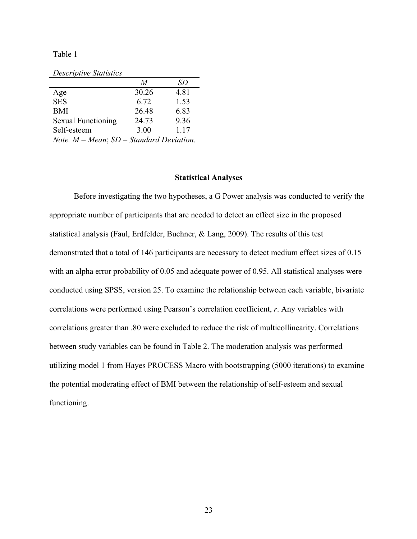Table 1

|                           | M     | SD   |
|---------------------------|-------|------|
| Age                       | 30.26 | 4.81 |
| <b>SES</b>                | 6.72  | 1.53 |
| <b>BMI</b>                | 26.48 | 6.83 |
| <b>Sexual Functioning</b> | 24.73 | 9.36 |
| Self-esteem               | 3.00  | 1.17 |

*Note. M* = *Mean*; *SD* = *Standard Deviation*.

#### **Statistical Analyses**

Before investigating the two hypotheses, a G Power analysis was conducted to verify the appropriate number of participants that are needed to detect an effect size in the proposed statistical analysis (Faul, Erdfelder, Buchner, & Lang, 2009). The results of this test demonstrated that a total of 146 participants are necessary to detect medium effect sizes of 0.15 with an alpha error probability of 0.05 and adequate power of 0.95. All statistical analyses were conducted using SPSS, version 25. To examine the relationship between each variable, bivariate correlations were performed using Pearson's correlation coefficient, *r*. Any variables with correlations greater than .80 were excluded to reduce the risk of multicollinearity. Correlations between study variables can be found in Table 2. The moderation analysis was performed utilizing model 1 from Hayes PROCESS Macro with bootstrapping (5000 iterations) to examine the potential moderating effect of BMI between the relationship of self-esteem and sexual functioning.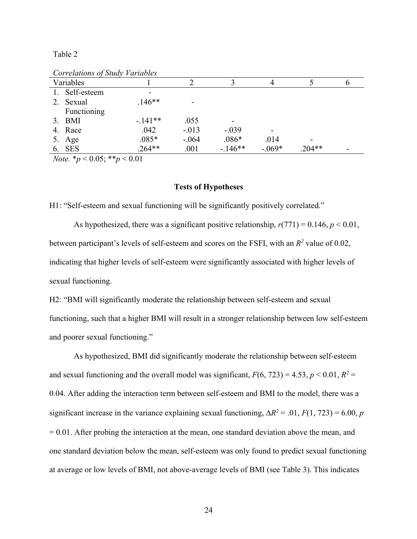Table 2

| Variables      |          |         |          |          |          |  |
|----------------|----------|---------|----------|----------|----------|--|
| 1. Self-esteem |          |         |          |          |          |  |
| 2. Sexual      | $.146**$ |         |          |          |          |  |
| Functioning    |          |         |          |          |          |  |
| $3. \quad BMI$ | $-141**$ | .055    |          |          |          |  |
| 4. Race        | .042     | $-.013$ | $-.039$  |          |          |  |
| 5. Age         | $.085*$  | $-.064$ | $.086*$  | .014     | -        |  |
| 6. SES         | $.264**$ | .001    | $-146**$ | $-.069*$ | $.204**$ |  |

*Correlations of Study Variables*

*Note.* \**p* < 0.05; \*\**p* < 0.01

### **Tests of Hypotheses**

H1: "Self-esteem and sexual functioning will be significantly positively correlated."

As hypothesized, there was a significant positive relationship,  $r(771) = 0.146$ ,  $p < 0.01$ , between participant's levels of self-esteem and scores on the FSFI, with an *R2* value of 0.02, indicating that higher levels of self-esteem were significantly associated with higher levels of sexual functioning.

H2: "BMI will significantly moderate the relationship between self-esteem and sexual functioning, such that a higher BMI will result in a stronger relationship between low self-esteem and poorer sexual functioning."

As hypothesized, BMI did significantly moderate the relationship between self-esteem and sexual functioning and the overall model was significant,  $F(6, 723) = 4.53$ ,  $p < 0.01$ ,  $R^2 =$ 0.04. After adding the interaction term between self-esteem and BMI to the model, there was a significant increase in the variance explaining sexual functioning,  $\Delta R^2 = .01$ ,  $F(1, 723) = 6.00$ , *p*  $= 0.01$ . After probing the interaction at the mean, one standard deviation above the mean, and one standard deviation below the mean, self-esteem was only found to predict sexual functioning at average or low levels of BMI, not above-average levels of BMI (see Table 3). This indicates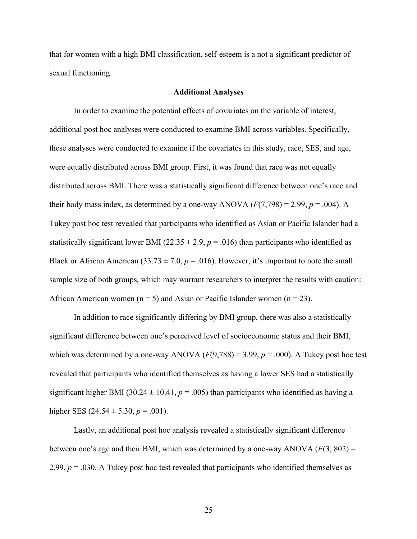that for women with a high BMI classification, self-esteem is a not a significant predictor of sexual functioning.

#### **Additional Analyses**

In order to examine the potential effects of covariates on the variable of interest, additional post hoc analyses were conducted to examine BMI across variables. Specifically, these analyses were conducted to examine if the covariates in this study, race, SES, and age, were equally distributed across BMI group. First, it was found that race was not equally distributed across BMI. There was a statistically significant difference between one's race and their body mass index, as determined by a one-way ANOVA  $(F(7,798) = 2.99, p = .004)$ . A Tukey post hoc test revealed that participants who identified as Asian or Pacific Islander had a statistically significant lower BMI ( $22.35 \pm 2.9$ ,  $p = .016$ ) than participants who identified as Black or African American  $(33.73 \pm 7.0, p = .016)$ . However, it's important to note the small sample size of both groups, which may warrant researchers to interpret the results with caution: African American women ( $n = 5$ ) and Asian or Pacific Islander women ( $n = 23$ ).

In addition to race significantly differing by BMI group, there was also a statistically significant difference between one's perceived level of socioeconomic status and their BMI, which was determined by a one-way ANOVA  $(F(9,788) = 3.99, p = .000)$ . A Tukey post hoc test revealed that participants who identified themselves as having a lower SES had a statistically significant higher BMI (30.24  $\pm$  10.41,  $p = .005$ ) than participants who identified as having a higher SES  $(24.54 \pm 5.30, p = .001)$ .

Lastly, an additional post hoc analysis revealed a statistically significant difference between one's age and their BMI, which was determined by a one-way ANOVA  $(F(3, 802) =$ 2.99, *p* = .030. A Tukey post hoc test revealed that participants who identified themselves as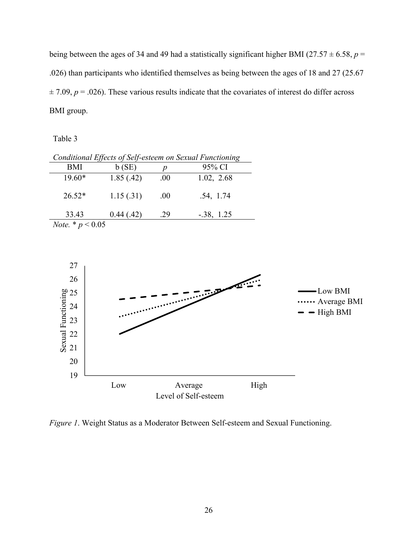being between the ages of 34 and 49 had a statistically significant higher BMI (27.57  $\pm$  6.58, *p* = .026) than participants who identified themselves as being between the ages of 18 and 27 (25.67  $\pm$  7.09,  $p = .026$ ). These various results indicate that the covariates of interest do differ across BMI group.

Table 3

| Conditional Effects of Self-esteem on Sexual Functioning |            |                  |              |  |
|----------------------------------------------------------|------------|------------------|--------------|--|
| BMI                                                      | b(SE)      | $\boldsymbol{p}$ | 95% CI       |  |
| $19.60*$                                                 | 1.85(.42)  | .00.             | 1.02, 2.68   |  |
| $26.52*$                                                 | 1.15(.31)  | .00.             | .54, 1.74    |  |
| 33.43                                                    | 0.44(0.42) | .29              | $-.38, 1.25$ |  |
| <i>Note.</i> * $p < 0.05$                                |            |                  |              |  |



*Figure 1*. Weight Status as a Moderator Between Self-esteem and Sexual Functioning.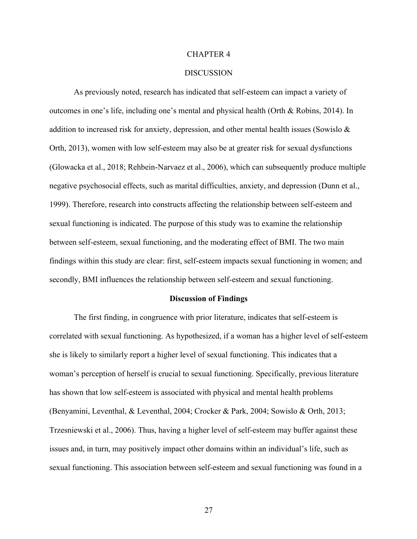#### CHAPTER 4

#### **DISCUSSION**

As previously noted, research has indicated that self-esteem can impact a variety of outcomes in one's life, including one's mental and physical health (Orth & Robins, 2014). In addition to increased risk for anxiety, depression, and other mental health issues (Sowislo & Orth, 2013), women with low self-esteem may also be at greater risk for sexual dysfunctions (Glowacka et al., 2018; Rehbein-Narvaez et al., 2006), which can subsequently produce multiple negative psychosocial effects, such as marital difficulties, anxiety, and depression (Dunn et al., 1999). Therefore, research into constructs affecting the relationship between self-esteem and sexual functioning is indicated. The purpose of this study was to examine the relationship between self-esteem, sexual functioning, and the moderating effect of BMI. The two main findings within this study are clear: first, self-esteem impacts sexual functioning in women; and secondly, BMI influences the relationship between self-esteem and sexual functioning.

#### **Discussion of Findings**

The first finding, in congruence with prior literature, indicates that self-esteem is correlated with sexual functioning. As hypothesized, if a woman has a higher level of self-esteem she is likely to similarly report a higher level of sexual functioning. This indicates that a woman's perception of herself is crucial to sexual functioning. Specifically, previous literature has shown that low self-esteem is associated with physical and mental health problems (Benyamini, Leventhal, & Leventhal, 2004; Crocker & Park, 2004; Sowislo & Orth, 2013; Trzesniewski et al., 2006). Thus, having a higher level of self-esteem may buffer against these issues and, in turn, may positively impact other domains within an individual's life, such as sexual functioning. This association between self-esteem and sexual functioning was found in a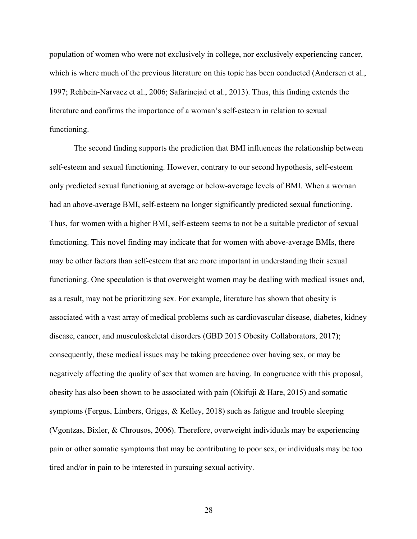population of women who were not exclusively in college, nor exclusively experiencing cancer, which is where much of the previous literature on this topic has been conducted (Andersen et al., 1997; Rehbein-Narvaez et al., 2006; Safarinejad et al., 2013). Thus, this finding extends the literature and confirms the importance of a woman's self-esteem in relation to sexual functioning.

The second finding supports the prediction that BMI influences the relationship between self-esteem and sexual functioning. However, contrary to our second hypothesis, self-esteem only predicted sexual functioning at average or below-average levels of BMI. When a woman had an above-average BMI, self-esteem no longer significantly predicted sexual functioning. Thus, for women with a higher BMI, self-esteem seems to not be a suitable predictor of sexual functioning. This novel finding may indicate that for women with above-average BMIs, there may be other factors than self-esteem that are more important in understanding their sexual functioning. One speculation is that overweight women may be dealing with medical issues and, as a result, may not be prioritizing sex. For example, literature has shown that obesity is associated with a vast array of medical problems such as cardiovascular disease, diabetes, kidney disease, cancer, and musculoskeletal disorders (GBD 2015 Obesity Collaborators, 2017); consequently, these medical issues may be taking precedence over having sex, or may be negatively affecting the quality of sex that women are having. In congruence with this proposal, obesity has also been shown to be associated with pain (Okifuji & Hare, 2015) and somatic symptoms (Fergus, Limbers, Griggs, & Kelley, 2018) such as fatigue and trouble sleeping (Vgontzas, Bixler, & Chrousos, 2006). Therefore, overweight individuals may be experiencing pain or other somatic symptoms that may be contributing to poor sex, or individuals may be too tired and/or in pain to be interested in pursuing sexual activity.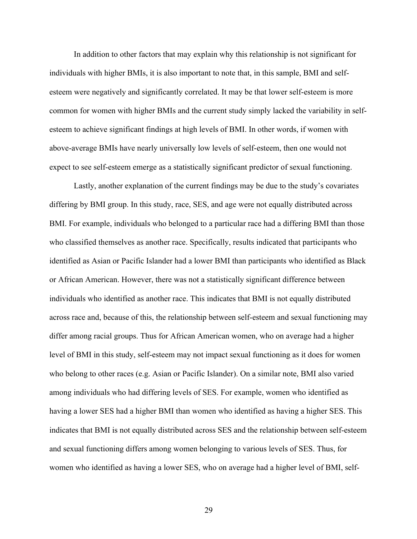In addition to other factors that may explain why this relationship is not significant for individuals with higher BMIs, it is also important to note that, in this sample, BMI and selfesteem were negatively and significantly correlated. It may be that lower self-esteem is more common for women with higher BMIs and the current study simply lacked the variability in selfesteem to achieve significant findings at high levels of BMI. In other words, if women with above-average BMIs have nearly universally low levels of self-esteem, then one would not expect to see self-esteem emerge as a statistically significant predictor of sexual functioning.

Lastly, another explanation of the current findings may be due to the study's covariates differing by BMI group. In this study, race, SES, and age were not equally distributed across BMI. For example, individuals who belonged to a particular race had a differing BMI than those who classified themselves as another race. Specifically, results indicated that participants who identified as Asian or Pacific Islander had a lower BMI than participants who identified as Black or African American. However, there was not a statistically significant difference between individuals who identified as another race. This indicates that BMI is not equally distributed across race and, because of this, the relationship between self-esteem and sexual functioning may differ among racial groups. Thus for African American women, who on average had a higher level of BMI in this study, self-esteem may not impact sexual functioning as it does for women who belong to other races (e.g. Asian or Pacific Islander). On a similar note, BMI also varied among individuals who had differing levels of SES. For example, women who identified as having a lower SES had a higher BMI than women who identified as having a higher SES. This indicates that BMI is not equally distributed across SES and the relationship between self-esteem and sexual functioning differs among women belonging to various levels of SES. Thus, for women who identified as having a lower SES, who on average had a higher level of BMI, self-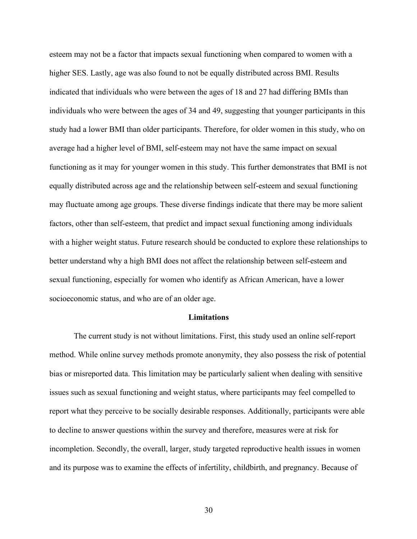esteem may not be a factor that impacts sexual functioning when compared to women with a higher SES. Lastly, age was also found to not be equally distributed across BMI. Results indicated that individuals who were between the ages of 18 and 27 had differing BMIs than individuals who were between the ages of 34 and 49, suggesting that younger participants in this study had a lower BMI than older participants. Therefore, for older women in this study, who on average had a higher level of BMI, self-esteem may not have the same impact on sexual functioning as it may for younger women in this study. This further demonstrates that BMI is not equally distributed across age and the relationship between self-esteem and sexual functioning may fluctuate among age groups. These diverse findings indicate that there may be more salient factors, other than self-esteem, that predict and impact sexual functioning among individuals with a higher weight status. Future research should be conducted to explore these relationships to better understand why a high BMI does not affect the relationship between self-esteem and sexual functioning, especially for women who identify as African American, have a lower socioeconomic status, and who are of an older age.

### **Limitations**

The current study is not without limitations. First, this study used an online self-report method. While online survey methods promote anonymity, they also possess the risk of potential bias or misreported data. This limitation may be particularly salient when dealing with sensitive issues such as sexual functioning and weight status, where participants may feel compelled to report what they perceive to be socially desirable responses. Additionally, participants were able to decline to answer questions within the survey and therefore, measures were at risk for incompletion. Secondly, the overall, larger, study targeted reproductive health issues in women and its purpose was to examine the effects of infertility, childbirth, and pregnancy. Because of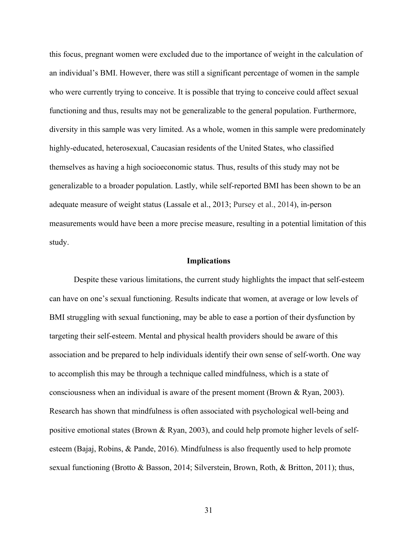this focus, pregnant women were excluded due to the importance of weight in the calculation of an individual's BMI. However, there was still a significant percentage of women in the sample who were currently trying to conceive. It is possible that trying to conceive could affect sexual functioning and thus, results may not be generalizable to the general population. Furthermore, diversity in this sample was very limited. As a whole, women in this sample were predominately highly-educated, heterosexual, Caucasian residents of the United States, who classified themselves as having a high socioeconomic status. Thus, results of this study may not be generalizable to a broader population. Lastly, while self-reported BMI has been shown to be an adequate measure of weight status (Lassale et al., 2013; Pursey et al., 2014), in-person measurements would have been a more precise measure, resulting in a potential limitation of this study.

#### **Implications**

Despite these various limitations, the current study highlights the impact that self-esteem can have on one's sexual functioning. Results indicate that women, at average or low levels of BMI struggling with sexual functioning, may be able to ease a portion of their dysfunction by targeting their self-esteem. Mental and physical health providers should be aware of this association and be prepared to help individuals identify their own sense of self-worth. One way to accomplish this may be through a technique called mindfulness, which is a state of consciousness when an individual is aware of the present moment (Brown & Ryan, 2003). Research has shown that mindfulness is often associated with psychological well-being and positive emotional states (Brown & Ryan, 2003), and could help promote higher levels of selfesteem (Bajaj, Robins, & Pande, 2016). Mindfulness is also frequently used to help promote sexual functioning (Brotto & Basson, 2014; Silverstein, Brown, Roth, & Britton, 2011); thus,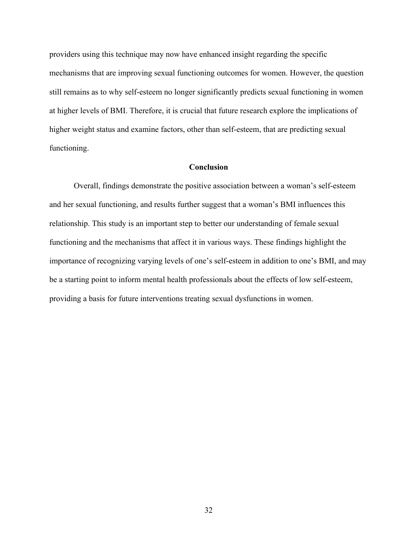providers using this technique may now have enhanced insight regarding the specific mechanisms that are improving sexual functioning outcomes for women. However, the question still remains as to why self-esteem no longer significantly predicts sexual functioning in women at higher levels of BMI. Therefore, it is crucial that future research explore the implications of higher weight status and examine factors, other than self-esteem, that are predicting sexual functioning.

### **Conclusion**

Overall, findings demonstrate the positive association between a woman's self-esteem and her sexual functioning, and results further suggest that a woman's BMI influences this relationship. This study is an important step to better our understanding of female sexual functioning and the mechanisms that affect it in various ways. These findings highlight the importance of recognizing varying levels of one's self-esteem in addition to one's BMI, and may be a starting point to inform mental health professionals about the effects of low self-esteem, providing a basis for future interventions treating sexual dysfunctions in women.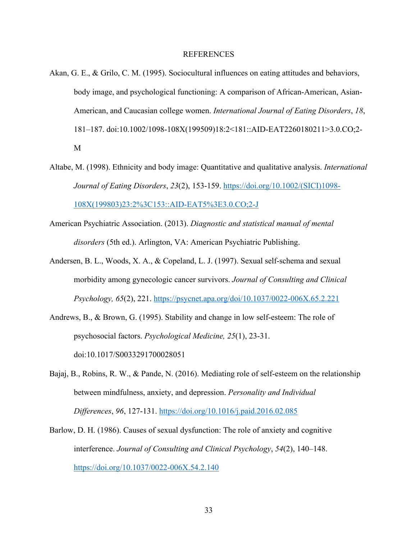#### **REFERENCES**

- Akan, G. E., & Grilo, C. M. (1995). Sociocultural influences on eating attitudes and behaviors, body image, and psychological functioning: A comparison of African-American, Asian-American, and Caucasian college women. *International Journal of Eating Disorders*, *18*, 181–187. doi:10.1002/1098-108X(199509)18:2<181::AID-EAT2260180211>3.0.CO;2- M
- Altabe, M. (1998). Ethnicity and body image: Quantitative and qualitative analysis. *International Journal of Eating Disorders*, *23*(2), 153-159. https://doi.org/10.1002/(SICI)1098- 108X(199803)23:2%3C153::AID-EAT5%3E3.0.CO;2-J
- American Psychiatric Association. (2013). *Diagnostic and statistical manual of mental disorders* (5th ed.). Arlington, VA: American Psychiatric Publishing.
- Andersen, B. L., Woods, X. A., & Copeland, L. J. (1997). Sexual self-schema and sexual morbidity among gynecologic cancer survivors. *Journal of Consulting and Clinical Psychology, 65*(2), 221. https://psycnet.apa.org/doi/10.1037/0022-006X.65.2.221
- Andrews, B., & Brown, G. (1995). Stability and change in low self-esteem: The role of psychosocial factors. *Psychological Medicine, 25*(1), 23-31. doi:10.1017/S0033291700028051
- Bajaj, B., Robins, R. W., & Pande, N. (2016). Mediating role of self-esteem on the relationship between mindfulness, anxiety, and depression. *Personality and Individual Differences*, *96*, 127-131. https://doi.org/10.1016/j.paid.2016.02.085
- Barlow, D. H. (1986). Causes of sexual dysfunction: The role of anxiety and cognitive interference. *Journal of Consulting and Clinical Psychology*, *54*(2), 140–148. https://doi.org/10.1037/0022-006X.54.2.140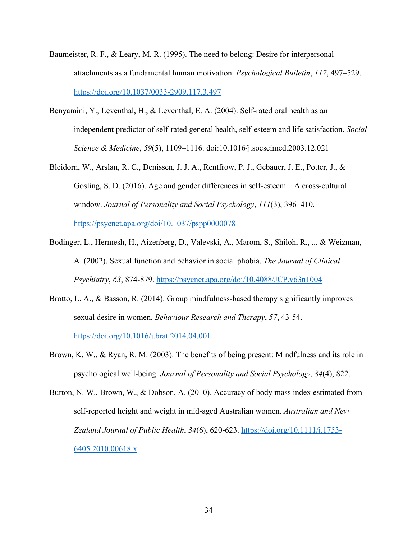- Baumeister, R. F., & Leary, M. R. (1995). The need to belong: Desire for interpersonal attachments as a fundamental human motivation. *Psychological Bulletin*, *117*, 497–529. https://doi.org/10.1037/0033-2909.117.3.497
- Benyamini, Y., Leventhal, H., & Leventhal, E. A. (2004). Self-rated oral health as an independent predictor of self-rated general health, self-esteem and life satisfaction. *Social Science & Medicine*, *59*(5), 1109–1116. doi:10.1016/j.socscimed.2003.12.021
- Bleidorn, W., Arslan, R. C., Denissen, J. J. A., Rentfrow, P. J., Gebauer, J. E., Potter, J., & Gosling, S. D. (2016). Age and gender differences in self-esteem—A cross-cultural window. *Journal of Personality and Social Psychology*, *111*(3), 396–410.

https://psycnet.apa.org/doi/10.1037/pspp0000078

- Bodinger, L., Hermesh, H., Aizenberg, D., Valevski, A., Marom, S., Shiloh, R., ... & Weizman, A. (2002). Sexual function and behavior in social phobia. *The Journal of Clinical Psychiatry*, *63*, 874-879. https://psycnet.apa.org/doi/10.4088/JCP.v63n1004
- Brotto, L. A., & Basson, R. (2014). Group mindfulness-based therapy significantly improves sexual desire in women. *Behaviour Research and Therapy*, *57*, 43-54. https://doi.org/10.1016/j.brat.2014.04.001
- Brown, K. W., & Ryan, R. M. (2003). The benefits of being present: Mindfulness and its role in psychological well-being. *Journal of Personality and Social Psychology*, *84*(4), 822.
- Burton, N. W., Brown, W., & Dobson, A. (2010). Accuracy of body mass index estimated from self‐reported height and weight in mid‐aged Australian women. *Australian and New Zealand Journal of Public Health*, *34*(6), 620-623. https://doi.org/10.1111/j.1753- 6405.2010.00618.x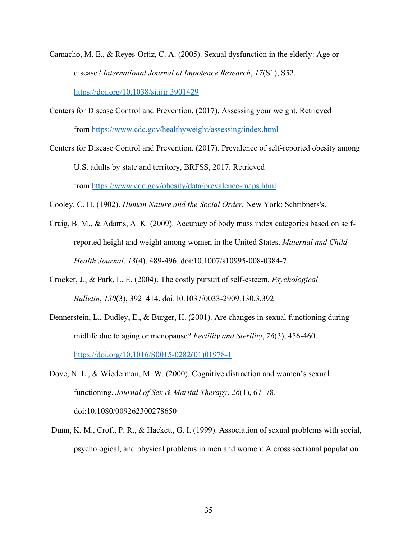- Camacho, M. E., & Reyes-Ortiz, C. A. (2005). Sexual dysfunction in the elderly: Age or disease? *International Journal of Impotence Research*, *17*(S1), S52. https://doi.org/10.1038/sj.ijir.3901429
- Centers for Disease Control and Prevention. (2017). Assessing your weight. Retrieved from https://www.cdc.gov/healthyweight/assessing/index.html
- Centers for Disease Control and Prevention. (2017). Prevalence of self-reported obesity among U.S. adults by state and territory, BRFSS, 2017. Retrieved from https://www.cdc.gov/obesity/data/prevalence-maps.html

Cooley, C. H. (1902). *Human Nature and the Social Order.* New York: Schribners's.

- Craig, B. M., & Adams, A. K. (2009). Accuracy of body mass index categories based on selfreported height and weight among women in the United States. *Maternal and Child Health Journal*, *13*(4), 489-496. doi:10.1007/s10995-008-0384-7.
- Crocker, J., & Park, L. E. (2004). The costly pursuit of self-esteem. *Psychological Bulletin*, *130*(3), 392–414. doi:10.1037/0033-2909.130.3.392
- Dennerstein, L., Dudley, E., & Burger, H. (2001). Are changes in sexual functioning during midlife due to aging or menopause? *Fertility and Sterility*, *76*(3), 456-460. https://doi.org/10.1016/S0015-0282(01)01978-1
- Dove, N. L., & Wiederman, M. W. (2000). Cognitive distraction and women's sexual functioning. *Journal of Sex & Marital Therapy*, *26*(1), 67–78. doi:10.1080/009262300278650
- Dunn, K. M., Croft, P. R., & Hackett, G. I. (1999). Association of sexual problems with social, psychological, and physical problems in men and women: A cross sectional population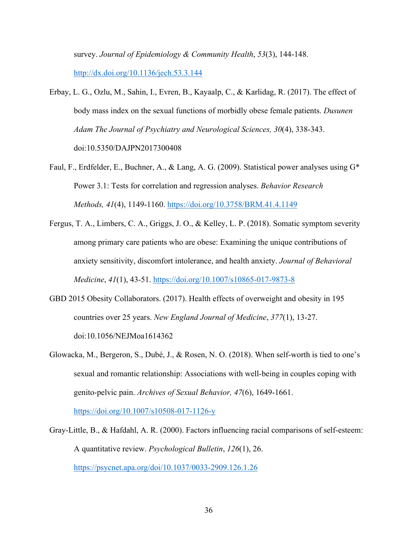survey. *Journal of Epidemiology & Community Health*, *53*(3), 144-148. http://dx.doi.org/10.1136/jech.53.3.144

- Erbay, L. G., Ozlu, M., Sahin, I., Evren, B., Kayaalp, C., & Karlidag, R. (2017). The effect of body mass index on the sexual functions of morbidly obese female patients. *Dusunen Adam The Journal of Psychiatry and Neurological Sciences, 30*(4), 338-343. doi:10.5350/DAJPN2017300408
- Faul, F., Erdfelder, E., Buchner, A., & Lang, A. G. (2009). Statistical power analyses using G\* Power 3.1: Tests for correlation and regression analyses. *Behavior Research Methods, 41*(4), 1149-1160. https://doi.org/10.3758/BRM.41.4.1149
- Fergus, T. A., Limbers, C. A., Griggs, J. O., & Kelley, L. P. (2018). Somatic symptom severity among primary care patients who are obese: Examining the unique contributions of anxiety sensitivity, discomfort intolerance, and health anxiety. *Journal of Behavioral Medicine*, *41*(1), 43-51. https://doi.org/10.1007/s10865-017-9873-8
- GBD 2015 Obesity Collaborators. (2017). Health effects of overweight and obesity in 195 countries over 25 years. *New England Journal of Medicine*, *377*(1), 13-27. doi:10.1056/NEJMoa1614362
- Glowacka, M., Bergeron, S., Dubé, J., & Rosen, N. O. (2018). When self-worth is tied to one's sexual and romantic relationship: Associations with well-being in couples coping with genito-pelvic pain. *Archives of Sexual Behavior, 47*(6), 1649-1661.

https://doi.org/10.1007/s10508-017-1126-y

Gray-Little, B., & Hafdahl, A. R. (2000). Factors influencing racial comparisons of self-esteem: A quantitative review. *Psychological Bulletin*, *126*(1), 26. https://psycnet.apa.org/doi/10.1037/0033-2909.126.1.26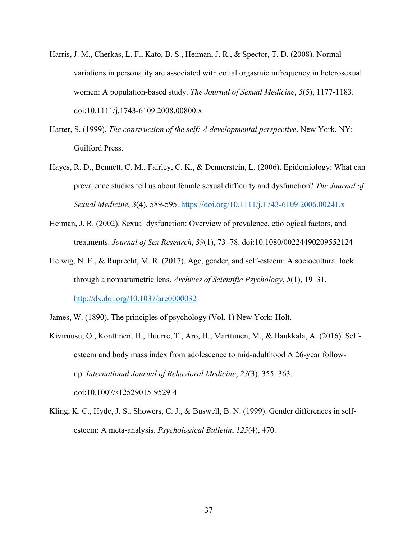- Harris, J. M., Cherkas, L. F., Kato, B. S., Heiman, J. R., & Spector, T. D. (2008). Normal variations in personality are associated with coital orgasmic infrequency in heterosexual women: A population‐based study. *The Journal of Sexual Medicine*, *5*(5), 1177-1183. doi:10.1111/j.1743-6109.2008.00800.x
- Harter, S. (1999). *The construction of the self: A developmental perspective*. New York, NY: Guilford Press.
- Hayes, R. D., Bennett, C. M., Fairley, C. K., & Dennerstein, L. (2006). Epidemiology: What can prevalence studies tell us about female sexual difficulty and dysfunction? *The Journal of Sexual Medicine*, *3*(4), 589-595. https://doi.org/10.1111/j.1743-6109.2006.00241.x
- Heiman, J. R. (2002). Sexual dysfunction: Overview of prevalence, etiological factors, and treatments. *Journal of Sex Research*, *39*(1), 73–78. doi:10.1080/00224490209552124
- Helwig, N. E., & Ruprecht, M. R. (2017). Age, gender, and self-esteem: A sociocultural look through a nonparametric lens. *Archives of Scientific Psychology*, *5*(1), 19–31. http://dx.doi.org/10.1037/arc0000032
- James, W. (1890). The principles of psychology (Vol. 1) New York: Holt.
- Kiviruusu, O., Konttinen, H., Huurre, T., Aro, H., Marttunen, M., & Haukkala, A. (2016). Selfesteem and body mass index from adolescence to mid-adulthood A 26-year followup. *International Journal of Behavioral Medicine*, *23*(3), 355–363. doi:10.1007/s12529015-9529-4
- Kling, K. C., Hyde, J. S., Showers, C. J., & Buswell, B. N. (1999). Gender differences in selfesteem: A meta-analysis. *Psychological Bulletin*, *125*(4), 470.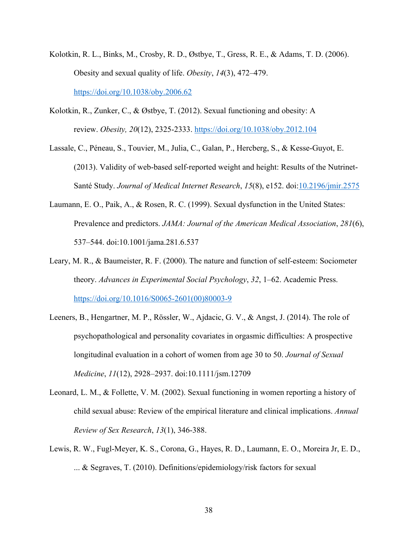- Kolotkin, R. L., Binks, M., Crosby, R. D., Østbye, T., Gress, R. E., & Adams, T. D. (2006). Obesity and sexual quality of life. *Obesity*, *14*(3), 472–479. https://doi.org/10.1038/oby.2006.62
- Kolotkin, R., Zunker, C., & Østbye, T. (2012). Sexual functioning and obesity: A review. *Obesity, 20*(12), 2325-2333. https://doi.org/10.1038/oby.2012.104
- Lassale, C., Péneau, S., Touvier, M., Julia, C., Galan, P., Hercberg, S., & Kesse-Guyot, E. (2013). Validity of web-based self-reported weight and height: Results of the Nutrinet-Santé Study. *Journal of Medical Internet Research*, *15*(8), e152. doi:10.2196/jmir.2575
- Laumann, E. O., Paik, A., & Rosen, R. C. (1999). Sexual dysfunction in the United States: Prevalence and predictors. *JAMA: Journal of the American Medical Association*, *281*(6), 537–544. doi:10.1001/jama.281.6.537
- Leary, M. R., & Baumeister, R. F. (2000). The nature and function of self-esteem: Sociometer theory. *Advances in Experimental Social Psychology*, *32*, 1–62. Academic Press. https://doi.org/10.1016/S0065-2601(00)80003-9
- Leeners, B., Hengartner, M. P., Rössler, W., Ajdacic, G. V., & Angst, J. (2014). The role of psychopathological and personality covariates in orgasmic difficulties: A prospective longitudinal evaluation in a cohort of women from age 30 to 50. *Journal of Sexual Medicine*, *11*(12), 2928–2937. doi:10.1111/jsm.12709
- Leonard, L. M., & Follette, V. M. (2002). Sexual functioning in women reporting a history of child sexual abuse: Review of the empirical literature and clinical implications. *Annual Review of Sex Research*, *13*(1), 346-388.
- Lewis, R. W., Fugl-Meyer, K. S., Corona, G., Hayes, R. D., Laumann, E. O., Moreira Jr, E. D., ... & Segraves, T. (2010). Definitions/epidemiology/risk factors for sexual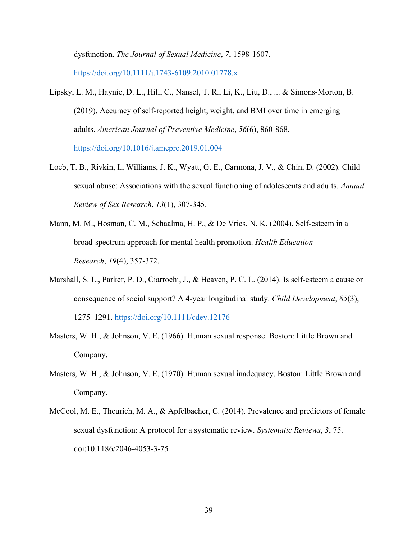dysfunction. *The Journal of Sexual Medicine*, *7*, 1598-1607. https://doi.org/10.1111/j.1743-6109.2010.01778.x

- Lipsky, L. M., Haynie, D. L., Hill, C., Nansel, T. R., Li, K., Liu, D., ... & Simons-Morton, B. (2019). Accuracy of self-reported height, weight, and BMI over time in emerging adults. *American Journal of Preventive Medicine*, *56*(6), 860-868. https://doi.org/10.1016/j.amepre.2019.01.004
- Loeb, T. B., Rivkin, I., Williams, J. K., Wyatt, G. E., Carmona, J. V., & Chin, D. (2002). Child sexual abuse: Associations with the sexual functioning of adolescents and adults. *Annual Review of Sex Research*, *13*(1), 307-345.
- Mann, M. M., Hosman, C. M., Schaalma, H. P., & De Vries, N. K. (2004). Self-esteem in a broad-spectrum approach for mental health promotion. *Health Education Research*, *19*(4), 357-372.
- Marshall, S. L., Parker, P. D., Ciarrochi, J., & Heaven, P. C. L. (2014). Is self-esteem a cause or consequence of social support? A 4‐year longitudinal study. *Child Development*, *85*(3), 1275–1291. https://doi.org/10.1111/cdev.12176
- Masters, W. H., & Johnson, V. E. (1966). Human sexual response. Boston: Little Brown and Company.
- Masters, W. H., & Johnson, V. E. (1970). Human sexual inadequacy. Boston: Little Brown and Company.
- McCool, M. E., Theurich, M. A., & Apfelbacher, C. (2014). Prevalence and predictors of female sexual dysfunction: A protocol for a systematic review. *Systematic Reviews*, *3*, 75. doi:10.1186/2046-4053-3-75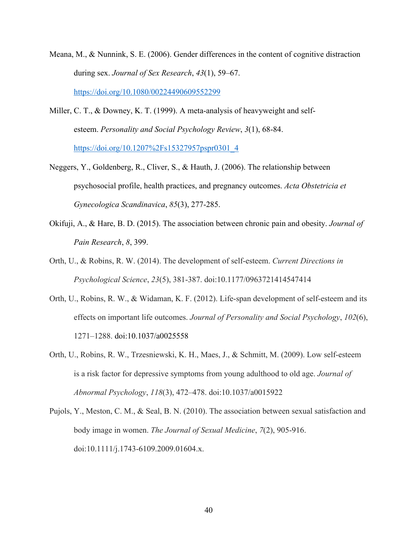- Meana, M., & Nunnink, S. E. (2006). Gender differences in the content of cognitive distraction during sex. *Journal of Sex Research*, *43*(1), 59–67. https://doi.org/10.1080/00224490609552299
- Miller, C. T., & Downey, K. T. (1999). A meta-analysis of heavyweight and selfesteem. *Personality and Social Psychology Review*, *3*(1), 68-84. https://doi.org/10.1207%2Fs15327957pspr0301\_4
- Neggers, Y., Goldenberg, R., Cliver, S., & Hauth, J. (2006). The relationship between psychosocial profile, health practices, and pregnancy outcomes. *Acta Obstetricia et Gynecologica Scandinavica*, *85*(3), 277-285.
- Okifuji, A., & Hare, B. D. (2015). The association between chronic pain and obesity. *Journal of Pain Research*, *8*, 399.
- Orth, U., & Robins, R. W. (2014). The development of self-esteem. *Current Directions in Psychological Science*, *23*(5), 381-387. doi:10.1177/0963721414547414
- Orth, U., Robins, R. W., & Widaman, K. F. (2012). Life-span development of self-esteem and its effects on important life outcomes. *Journal of Personality and Social Psychology*, *102*(6), 1271–1288. doi:10.1037/a0025558
- Orth, U., Robins, R. W., Trzesniewski, K. H., Maes, J., & Schmitt, M. (2009). Low self-esteem is a risk factor for depressive symptoms from young adulthood to old age. *Journal of Abnormal Psychology*, *118*(3), 472–478. doi:10.1037/a0015922
- Pujols, Y., Meston, C. M., & Seal, B. N. (2010). The association between sexual satisfaction and body image in women. *The Journal of Sexual Medicine*, *7*(2), 905-916. doi:10.1111/j.1743-6109.2009.01604.x.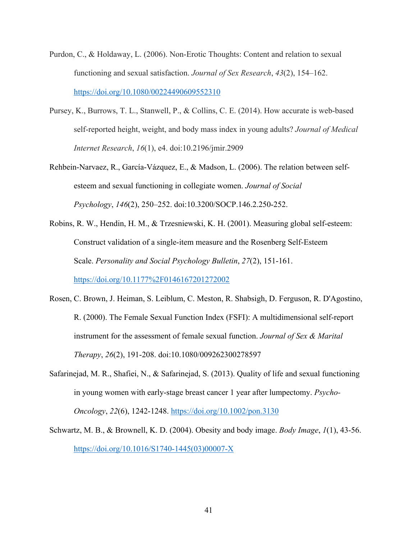- Purdon, C., & Holdaway, L. (2006). Non-Erotic Thoughts: Content and relation to sexual functioning and sexual satisfaction. *Journal of Sex Research*, *43*(2), 154–162. https://doi.org/10.1080/00224490609552310
- Pursey, K., Burrows, T. L., Stanwell, P., & Collins, C. E. (2014). How accurate is web-based self-reported height, weight, and body mass index in young adults? *Journal of Medical Internet Research*, *16*(1), e4. doi:10.2196/jmir.2909
- Rehbein-Narvaez, R., García-Vázquez, E., & Madson, L. (2006). The relation between selfesteem and sexual functioning in collegiate women. *Journal of Social Psychology*, *146*(2), 250–252. doi:10.3200/SOCP.146.2.250-252.
- Robins, R. W., Hendin, H. M., & Trzesniewski, K. H. (2001). Measuring global self-esteem: Construct validation of a single-item measure and the Rosenberg Self-Esteem Scale. *Personality and Social Psychology Bulletin*, *27*(2), 151-161. https://doi.org/10.1177%2F0146167201272002
- Rosen, C. Brown, J. Heiman, S. Leiblum, C. Meston, R. Shabsigh, D. Ferguson, R. D'Agostino, R. (2000). The Female Sexual Function Index (FSFI): A multidimensional self-report instrument for the assessment of female sexual function. *Journal of Sex & Marital Therapy*, *26*(2), 191-208. doi:10.1080/009262300278597
- Safarinejad, M. R., Shafiei, N., & Safarinejad, S. (2013). Quality of life and sexual functioning in young women with early‐stage breast cancer 1 year after lumpectomy. *Psycho‐ Oncology*, *22*(6), 1242-1248. https://doi.org/10.1002/pon.3130
- Schwartz, M. B., & Brownell, K. D. (2004). Obesity and body image. *Body Image*, *1*(1), 43-56. https://doi.org/10.1016/S1740-1445(03)00007-X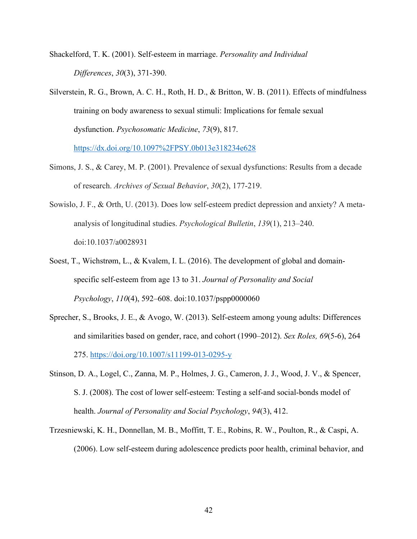Shackelford, T. K. (2001). Self-esteem in marriage. *Personality and Individual Differences*, *30*(3), 371-390.

Silverstein, R. G., Brown, A. C. H., Roth, H. D., & Britton, W. B. (2011). Effects of mindfulness training on body awareness to sexual stimuli: Implications for female sexual dysfunction. *Psychosomatic Medicine*, *73*(9), 817.

https://dx.doi.org/10.1097%2FPSY.0b013e318234e628

- Simons, J. S., & Carey, M. P. (2001). Prevalence of sexual dysfunctions: Results from a decade of research. *Archives of Sexual Behavior*, *30*(2), 177-219.
- Sowislo, J. F., & Orth, U. (2013). Does low self-esteem predict depression and anxiety? A metaanalysis of longitudinal studies. *Psychological Bulletin*, *139*(1), 213–240. doi:10.1037/a0028931
- Soest, T., Wichstrøm, L., & Kvalem, I. L. (2016). The development of global and domainspecific self-esteem from age 13 to 31. *Journal of Personality and Social Psychology*, *110*(4), 592–608. doi:10.1037/pspp0000060
- Sprecher, S., Brooks, J. E., & Avogo, W. (2013). Self-esteem among young adults: Differences and similarities based on gender, race, and cohort (1990–2012). *Sex Roles, 69*(5-6), 264 275. https://doi.org/10.1007/s11199-013-0295-y
- Stinson, D. A., Logel, C., Zanna, M. P., Holmes, J. G., Cameron, J. J., Wood, J. V., & Spencer, S. J. (2008). The cost of lower self-esteem: Testing a self-and social-bonds model of health. *Journal of Personality and Social Psychology*, *94*(3), 412.
- Trzesniewski, K. H., Donnellan, M. B., Moffitt, T. E., Robins, R. W., Poulton, R., & Caspi, A. (2006). Low self-esteem during adolescence predicts poor health, criminal behavior, and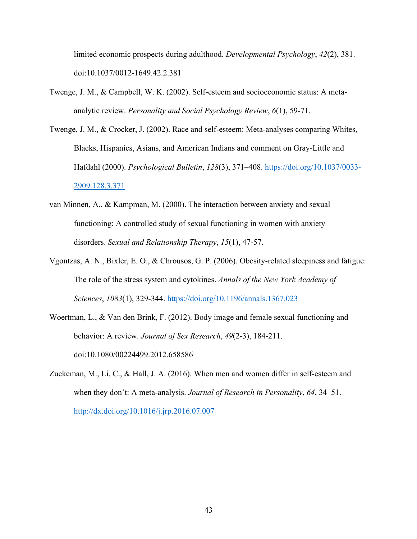limited economic prospects during adulthood. *Developmental Psychology*, *42*(2), 381. doi:10.1037/0012-1649.42.2.381

- Twenge, J. M., & Campbell, W. K. (2002). Self-esteem and socioeconomic status: A metaanalytic review. *Personality and Social Psychology Review*, *6*(1), 59-71.
- Twenge, J. M., & Crocker, J. (2002). Race and self-esteem: Meta-analyses comparing Whites, Blacks, Hispanics, Asians, and American Indians and comment on Gray-Little and Hafdahl (2000). *Psychological Bulletin*, *128*(3), 371–408. https://doi.org/10.1037/0033- 2909.128.3.371
- van Minnen, A., & Kampman, M. (2000). The interaction between anxiety and sexual functioning: A controlled study of sexual functioning in women with anxiety disorders. *Sexual and Relationship Therapy*, *15*(1), 47-57.
- Vgontzas, A. N., Bixler, E. O., & Chrousos, G. P. (2006). Obesity‐related sleepiness and fatigue: The role of the stress system and cytokines. *Annals of the New York Academy of Sciences*, *1083*(1), 329-344. https://doi.org/10.1196/annals.1367.023
- Woertman, L., & Van den Brink, F. (2012). Body image and female sexual functioning and behavior: A review. *Journal of Sex Research*, *49*(2-3), 184-211. doi:10.1080/00224499.2012.658586
- Zuckeman, M., Li, C., & Hall, J. A. (2016). When men and women differ in self-esteem and when they don't: A meta-analysis. *Journal of Research in Personality*, *64*, 34–51. http://dx.doi.org/10.1016/j.jrp.2016.07.007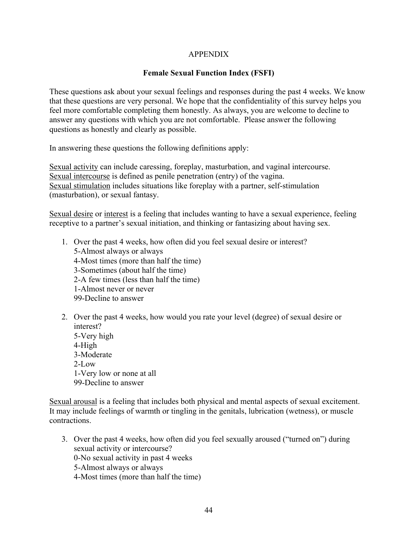# APPENDIX

# **Female Sexual Function Index (FSFI)**

These questions ask about your sexual feelings and responses during the past 4 weeks. We know that these questions are very personal. We hope that the confidentiality of this survey helps you feel more comfortable completing them honestly. As always, you are welcome to decline to answer any questions with which you are not comfortable. Please answer the following questions as honestly and clearly as possible.

In answering these questions the following definitions apply:

Sexual activity can include caressing, foreplay, masturbation, and vaginal intercourse. Sexual intercourse is defined as penile penetration (entry) of the vagina. Sexual stimulation includes situations like foreplay with a partner, self-stimulation (masturbation), or sexual fantasy.

Sexual desire or interest is a feeling that includes wanting to have a sexual experience, feeling receptive to a partner's sexual initiation, and thinking or fantasizing about having sex.

- 1. Over the past 4 weeks, how often did you feel sexual desire or interest? 5-Almost always or always 4-Most times (more than half the time) 3-Sometimes (about half the time) 2-A few times (less than half the time) 1-Almost never or never 99-Decline to answer
- 2. Over the past 4 weeks, how would you rate your level (degree) of sexual desire or interest? 5-Very high 4-High 3-Moderate  $2-I$  ow 1-Very low or none at all 99-Decline to answer

Sexual arousal is a feeling that includes both physical and mental aspects of sexual excitement. It may include feelings of warmth or tingling in the genitals, lubrication (wetness), or muscle contractions.

3. Over the past 4 weeks, how often did you feel sexually aroused ("turned on") during sexual activity or intercourse? 0-No sexual activity in past 4 weeks 5-Almost always or always 4-Most times (more than half the time)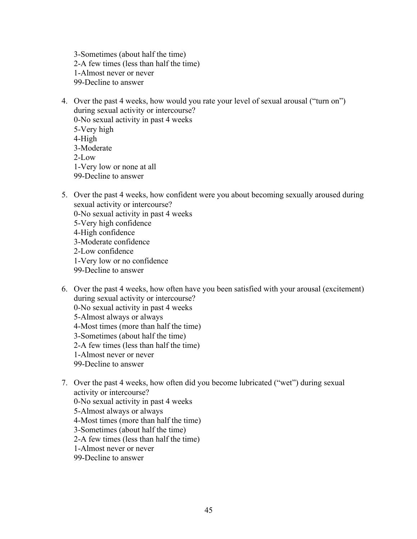3-Sometimes (about half the time) 2-A few times (less than half the time) 1-Almost never or never 99-Decline to answer

- 4. Over the past 4 weeks, how would you rate your level of sexual arousal ("turn on") during sexual activity or intercourse? 0-No sexual activity in past 4 weeks 5-Very high 4-High 3-Moderate 2-Low 1-Very low or none at all 99-Decline to answer
- 5. Over the past 4 weeks, how confident were you about becoming sexually aroused during sexual activity or intercourse?
	- 0-No sexual activity in past 4 weeks
	- 5-Very high confidence
	- 4-High confidence
	- 3-Moderate confidence
	- 2-Low confidence
	- 1-Very low or no confidence
	- 99-Decline to answer
- 6. Over the past 4 weeks, how often have you been satisfied with your arousal (excitement) during sexual activity or intercourse? 0-No sexual activity in past 4 weeks 5-Almost always or always 4-Most times (more than half the time) 3-Sometimes (about half the time) 2-A few times (less than half the time) 1-Almost never or never 99-Decline to answer
- 7. Over the past 4 weeks, how often did you become lubricated ("wet") during sexual activity or intercourse? 0-No sexual activity in past 4 weeks 5-Almost always or always 4-Most times (more than half the time) 3-Sometimes (about half the time) 2-A few times (less than half the time)
	- 1-Almost never or never
	- 99-Decline to answer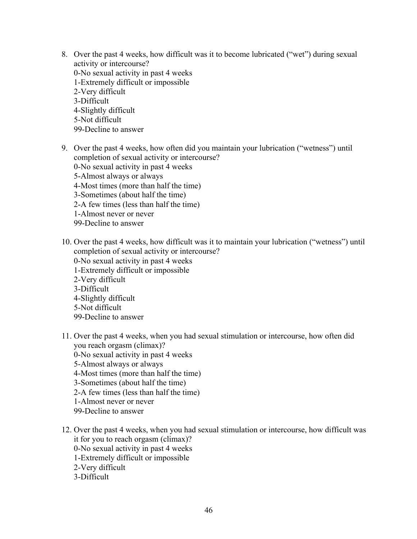- 8. Over the past 4 weeks, how difficult was it to become lubricated ("wet") during sexual activity or intercourse? 0-No sexual activity in past 4 weeks 1-Extremely difficult or impossible 2-Very difficult 3-Difficult 4-Slightly difficult 5-Not difficult 99-Decline to answer
- 9. Over the past 4 weeks, how often did you maintain your lubrication ("wetness") until completion of sexual activity or intercourse? 0-No sexual activity in past 4 weeks 5-Almost always or always 4-Most times (more than half the time) 3-Sometimes (about half the time) 2-A few times (less than half the time) 1-Almost never or never 99-Decline to answer
- 10. Over the past 4 weeks, how difficult was it to maintain your lubrication ("wetness") until completion of sexual activity or intercourse? 0-No sexual activity in past 4 weeks 1-Extremely difficult or impossible 2-Very difficult 3-Difficult 4-Slightly difficult 5-Not difficult
	- 99-Decline to answer
- 11. Over the past 4 weeks, when you had sexual stimulation or intercourse, how often did you reach orgasm (climax)?
	- 0-No sexual activity in past 4 weeks
	- 5-Almost always or always
	- 4-Most times (more than half the time)
	- 3-Sometimes (about half the time)
	- 2-A few times (less than half the time)
	- 1-Almost never or never
	- 99-Decline to answer
- 12. Over the past 4 weeks, when you had sexual stimulation or intercourse, how difficult was it for you to reach orgasm (climax)? 0-No sexual activity in past 4 weeks 1-Extremely difficult or impossible 2-Very difficult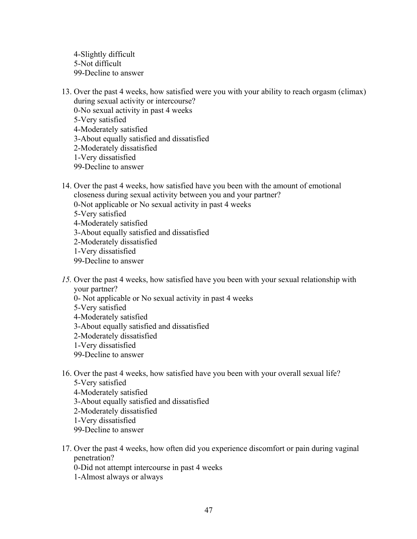4-Slightly difficult 5-Not difficult 99-Decline to answer

- 13. Over the past 4 weeks, how satisfied were you with your ability to reach orgasm (climax) during sexual activity or intercourse?
	- 0-No sexual activity in past 4 weeks 5-Very satisfied 4-Moderately satisfied 3-About equally satisfied and dissatisfied 2-Moderately dissatisfied 1-Very dissatisfied
	- 99-Decline to answer
- 14. Over the past 4 weeks, how satisfied have you been with the amount of emotional closeness during sexual activity between you and your partner?
	- 0-Not applicable or No sexual activity in past 4 weeks
	- 5-Very satisfied
	- 4-Moderately satisfied
	- 3-About equally satisfied and dissatisfied
	- 2-Moderately dissatisfied
	- 1-Very dissatisfied
	- 99-Decline to answer
- *15.* Over the past 4 weeks, how satisfied have you been with your sexual relationship with your partner?
	- 0- Not applicable or No sexual activity in past 4 weeks
	- 5-Very satisfied
	- 4-Moderately satisfied
	- 3-About equally satisfied and dissatisfied
	- 2-Moderately dissatisfied
	- 1-Very dissatisfied
	- 99-Decline to answer
- 16. Over the past 4 weeks, how satisfied have you been with your overall sexual life? 5-Very satisfied
	- 4-Moderately satisfied
	- 3-About equally satisfied and dissatisfied
	- 2-Moderately dissatisfied
	- 1-Very dissatisfied
	- 99-Decline to answer
- 17. Over the past 4 weeks, how often did you experience discomfort or pain during vaginal penetration?
	- 0-Did not attempt intercourse in past 4 weeks
	- 1-Almost always or always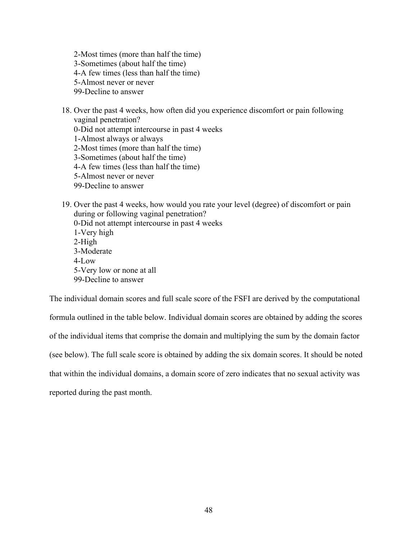2-Most times (more than half the time) 3-Sometimes (about half the time) 4-A few times (less than half the time) 5-Almost never or never 99-Decline to answer

18. Over the past 4 weeks, how often did you experience discomfort or pain following vaginal penetration? 0-Did not attempt intercourse in past 4 weeks 1-Almost always or always 2-Most times (more than half the time) 3-Sometimes (about half the time) 4-A few times (less than half the time) 5-Almost never or never 99-Decline to answer

19. Over the past 4 weeks, how would you rate your level (degree) of discomfort or pain during or following vaginal penetration? 0-Did not attempt intercourse in past 4 weeks 1-Very high 2-High 3-Moderate  $4-I$  ow 5-Very low or none at all 99-Decline to answer

The individual domain scores and full scale score of the FSFI are derived by the computational formula outlined in the table below. Individual domain scores are obtained by adding the scores of the individual items that comprise the domain and multiplying the sum by the domain factor (see below). The full scale score is obtained by adding the six domain scores. It should be noted that within the individual domains, a domain score of zero indicates that no sexual activity was reported during the past month.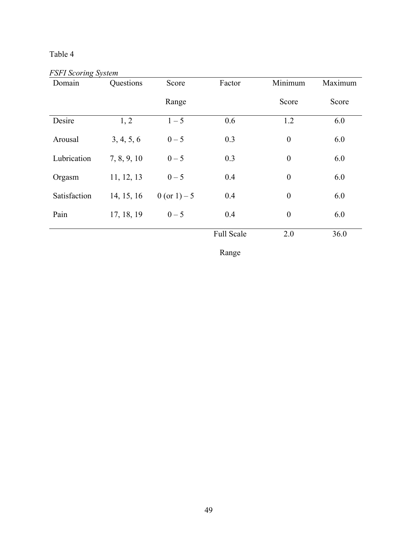# Table 4

*FSFI Scoring System* 

| Domain       | Questions   | Score         | Factor     | Minimum          | Maximum |
|--------------|-------------|---------------|------------|------------------|---------|
|              |             | Range         |            | Score            | Score   |
| Desire       | 1, 2        | $1 - 5$       | 0.6        | 1.2              | 6.0     |
| Arousal      | 3, 4, 5, 6  | $0 - 5$       | 0.3        | $\boldsymbol{0}$ | 6.0     |
| Lubrication  | 7, 8, 9, 10 | $0 - 5$       | 0.3        | $\boldsymbol{0}$ | 6.0     |
| Orgasm       | 11, 12, 13  | $0 - 5$       | 0.4        | $\boldsymbol{0}$ | 6.0     |
| Satisfaction | 14, 15, 16  | 0 (or 1) $-5$ | 0.4        | $\boldsymbol{0}$ | 6.0     |
| Pain         | 17, 18, 19  | $0 - 5$       | 0.4        | $\boldsymbol{0}$ | 6.0     |
|              |             |               | Full Scale | 2.0              | 36.0    |

Range